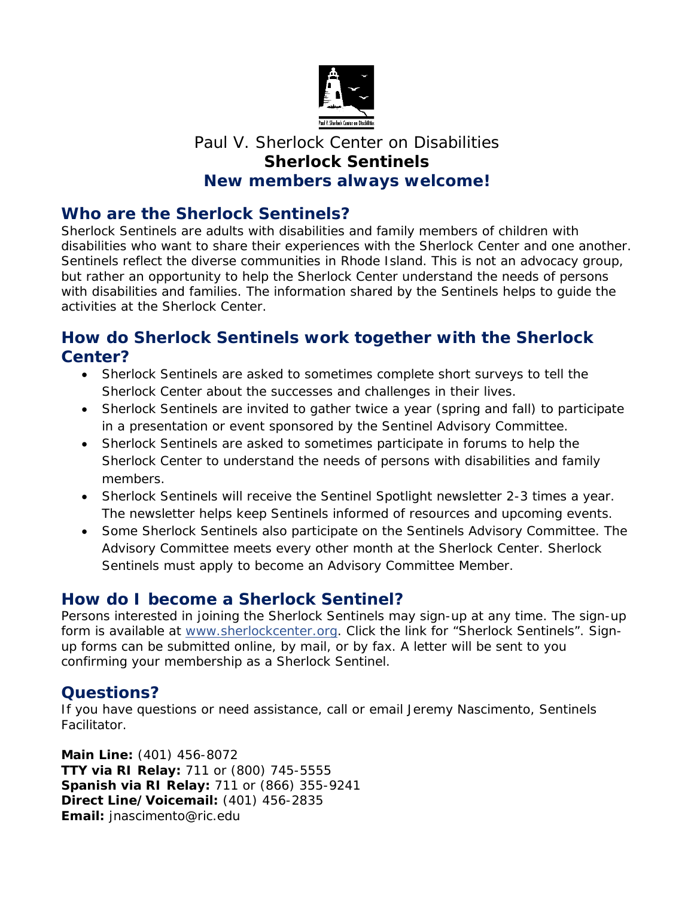

# Paul V. Sherlock Center on Disabilities **Sherlock Sentinels New members always welcome!**

## **Who are the Sherlock Sentinels?**

Sherlock Sentinels are adults with disabilities and family members of children with disabilities who want to share their experiences with the Sherlock Center and one another. Sentinels reflect the diverse communities in Rhode Island. This is not an advocacy group, but rather an opportunity to help the Sherlock Center understand the needs of persons with disabilities and families. The information shared by the Sentinels helps to guide the activities at the Sherlock Center.

### **How do Sherlock Sentinels work together with the Sherlock Center?**

- Sherlock Sentinels are asked to sometimes complete short surveys to tell the Sherlock Center about the successes and challenges in their lives.
- Sherlock Sentinels are invited to gather twice a year (spring and fall) to participate in a presentation or event sponsored by the Sentinel Advisory Committee.
- Sherlock Sentinels are asked to sometimes participate in forums to help the Sherlock Center to understand the needs of persons with disabilities and family members.
- Sherlock Sentinels will receive the *Sentinel Spotlight* newsletter 2-3 times a year. The newsletter helps keep Sentinels informed of resources and upcoming events.
- Some Sherlock Sentinels also participate on the Sentinels Advisory Committee. The Advisory Committee meets every other month at the Sherlock Center. Sherlock Sentinels must apply to become an Advisory Committee Member.

### **How do I become a Sherlock Sentinel?**

Persons interested in joining the Sherlock Sentinels may sign-up at any time. The sign-up form is available at [www.sherlockcenter.org.](http://www.sherlockcenter.org/) Click the link for "Sherlock Sentinels". Signup forms can be submitted online, by mail, or by fax. A letter will be sent to you confirming your membership as a Sherlock Sentinel.

### **Questions?**

If you have questions or need assistance, call or email Jeremy Nascimento, Sentinels Facilitator.

**Main Line:** (401) 456-8072 **TTY via RI Relay:** 711 or (800) 745-5555 **Spanish via RI Relay:** 711 or (866) 355-9241 **Direct Line/Voicemail:** (401) 456-2835 **Email:** [jnascimento@ric.edu](mailto:jnascimento@ric.edu)